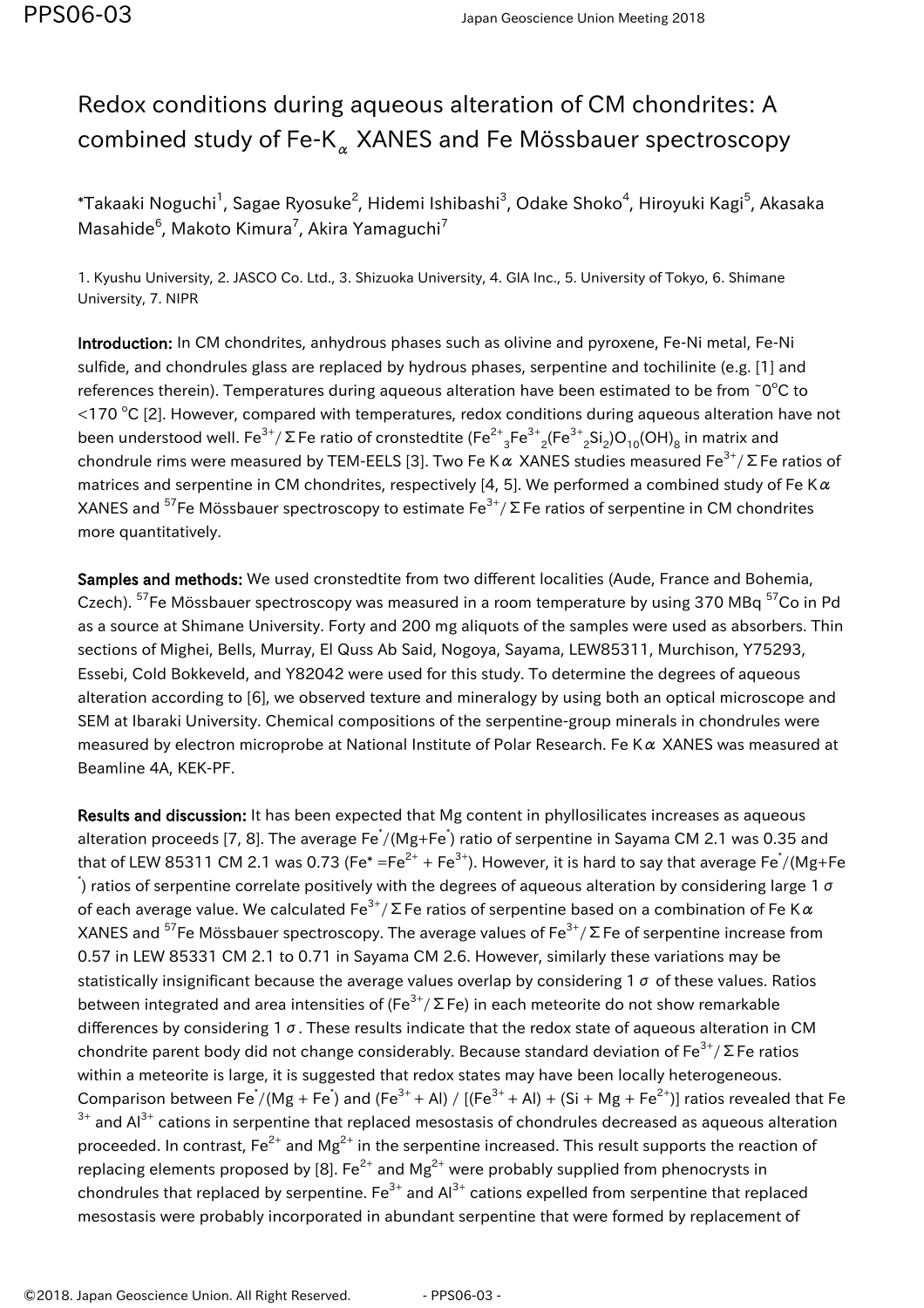## Redox conditions during aqueous alteration of CM chondrites: A combined study of Fe-K $_{\alpha}$  XANES and Fe Mössbauer spectroscopy

 $^\ast$ Takaaki Noguchi $^1$ , Sagae Ryosuke $^2$ , Hidemi Ishibashi $^3$ , Odake Shoko $^4$ , Hiroyuki Kagi $^5$ , Akasaka Masahide $^6$ , Makoto Kimura<sup>7</sup>, Akira Yamaguchi<sup>7</sup>

1. Kyushu University, 2. JASCO Co. Ltd., 3. Shizuoka University, 4. GIA Inc., 5. University of Tokyo, 6. Shimane University, 7. NIPR

Introduction: In CM chondrites, anhydrous phases such as olivine and pyroxene, Fe-Ni metal, Fe-Ni sulfide, and chondrules glass are replaced by hydrous phases, serpentine and tochilinite (e.g. [1] and references therein). Temperatures during aqueous alteration have been estimated to be from  $\degree$ O $\degree$ C to  $<$ 170 °C [2]. However, compared with temperatures, redox conditions during aqueous alteration have not been understood well. Fe $^{3+}/$  Σ Fe ratio of cronstedtite (Fe $^{2+}$ <sub>3</sub>Fe $^{3+}$ <sub>2</sub>(Fe $^{3+}$ <sub>2</sub>Si<sub>2</sub>)O<sub>10</sub>(OH)<sub>8</sub> in matrix and chondrule rims were measured by TEM-EELS [3]. Two Fe K  $\alpha$  XANES studies measured Fe<sup>3+</sup>/ Σ Fe ratios of matrices and serpentine in CM chondrites, respectively [4, 5]. We performed a combined study of Fe K $\alpha$ XANES and <sup>57</sup>Fe Mössbauer spectroscopy to estimate  $Fe^{3+}/\Sigma$  Fe ratios of serpentine in CM chondrites more quantitatively.

Samples and methods: We used cronstedtite from two different localities (Aude, France and Bohemia, Czech). <sup>57</sup>Fe Mössbauer spectroscopy was measured in a room temperature by using 370 MBq <sup>57</sup>Co in Pd as a source at Shimane University. Forty and 200 mg aliquots of the samples were used as absorbers. Thin sections of Mighei, Bells, Murray, El Quss Ab Said, Nogoya, Sayama, LEW85311, Murchison, Y75293, Essebi, Cold Bokkeveld, and Y82042 were used for this study. To determine the degrees of aqueous alteration according to [6], we observed texture and mineralogy by using both an optical microscope and SEM at Ibaraki University. Chemical compositions of the serpentine-group minerals in chondrules were measured by electron microprobe at National Institute of Polar Research. Fe K $\alpha$  XANES was measured at Beamline 4A, KEK-PF.

Results and discussion: It has been expected that Mg content in phyllosilicates increases as aqueous alteration proceeds [7, 8]. The average Fe<sup>\*</sup>/(Mg+Fe<sup>\*</sup>) ratio of serpentine in Sayama CM 2.1 was 0.35 and that of LEW 85311 CM 2.1 was 0.73 (Fe\* =Fe $^{2+}$  + Fe $^{3+}$ ). However, it is hard to say that average Fe $^{*}/$ (Mg+Fe  $\dot{ }$ ) ratios of serpentine correlate positively with the degrees of aqueous alteration by considering large 1 σ of each average value. We calculated  $\text{Fe}^{3+}/\Sigma$  Fe ratios of serpentine based on a combination of Fe K $\alpha$ XANES and <sup>57</sup>Fe Mössbauer spectroscopy. The average values of Fe<sup>3+</sup>/ ΣFe of serpentine increase from 0.57 in LEW 85331 CM 2.1 to 0.71 in Sayama CM 2.6. However, similarly these variations may be statistically insignificant because the average values overlap by considering 1  $\sigma$  of these values. Ratios between integrated and area intensities of (Fe<sup>3+</sup>/ΣFe) in each meteorite do not show remarkable differences by considering 1 σ. These results indicate that the redox state of aqueous alteration in CM chondrite parent body did not change considerably. Because standard deviation of  $Fe^{3+}/\Sigma$  Fe ratios within a meteorite is large, it is suggested that redox states may have been locally heterogeneous. Comparison between Fe<sup>\*</sup>/(Mg + Fe<sup>\*</sup>) and (Fe<sup>3+</sup> + Al) / [(Fe<sup>3+</sup> + Al) + (Si + Mg + Fe<sup>2+</sup>)] ratios revealed that Fe  $3+$  and Al $3+$  cations in serpentine that replaced mesostasis of chondrules decreased as aqueous alteration proceeded. In contrast,  $Fe^{2+}$  and  $Mg^{2+}$  in the serpentine increased. This result supports the reaction of replacing elements proposed by [8]. Fe<sup>2+</sup> and Mg<sup>2+</sup> were probably supplied from phenocrysts in chondrules that replaced by serpentine.  $Fe^{3+}$  and  $Al^{3+}$  cations expelled from serpentine that replaced mesostasis were probably incorporated in abundant serpentine that were formed by replacement of